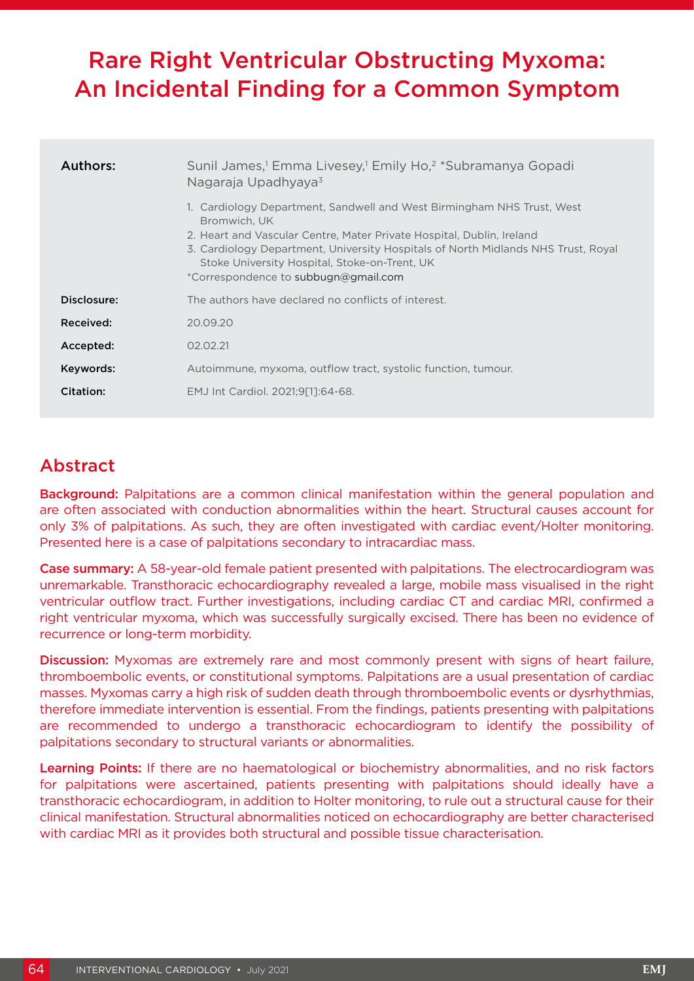# Rare Right Ventricular Obstructing Myxoma: An Incidental Finding for a Common Symptom

| Authors:    | Sunil James, <sup>1</sup> Emma Livesey, <sup>1</sup> Emily Ho, <sup>2</sup> *Subramanya Gopadi<br>Nagaraja Upadhyaya <sup>3</sup>                                                                                                                                                                                                             |
|-------------|-----------------------------------------------------------------------------------------------------------------------------------------------------------------------------------------------------------------------------------------------------------------------------------------------------------------------------------------------|
|             | 1. Cardiology Department, Sandwell and West Birmingham NHS Trust, West<br>Bromwich, UK<br>2. Heart and Vascular Centre, Mater Private Hospital, Dublin, Ireland<br>3. Cardiology Department, University Hospitals of North Midlands NHS Trust, Royal<br>Stoke University Hospital, Stoke-on-Trent, UK<br>*Correspondence to subbugn@gmail.com |
| Disclosure: | The authors have declared no conflicts of interest.                                                                                                                                                                                                                                                                                           |
| Received:   | 20.09.20                                                                                                                                                                                                                                                                                                                                      |
| Accepted:   | 02.02.21                                                                                                                                                                                                                                                                                                                                      |
| Keywords:   | Autoimmune, myxoma, outflow tract, systolic function, tumour.                                                                                                                                                                                                                                                                                 |
| Citation:   | EMJ Int Cardiol. 2021;9[1]:64-68.                                                                                                                                                                                                                                                                                                             |

## Abstract

Background: Palpitations are a common clinical manifestation within the general population and are often associated with conduction abnormalities within the heart. Structural causes account for only 3% of palpitations. As such, they are often investigated with cardiac event/Holter monitoring. Presented here is a case of palpitations secondary to intracardiac mass.

Case summary: A 58-year-old female patient presented with palpitations. The electrocardiogram was unremarkable. Transthoracic echocardiography revealed a large, mobile mass visualised in the right ventricular outflow tract. Further investigations, including cardiac CT and cardiac MRI, confirmed a right ventricular myxoma, which was successfully surgically excised. There has been no evidence of recurrence or long-term morbidity.

Discussion: Myxomas are extremely rare and most commonly present with signs of heart failure, thromboembolic events, or constitutional symptoms. Palpitations are a usual presentation of cardiac masses. Myxomas carry a high risk of sudden death through thromboembolic events or dysrhythmias, therefore immediate intervention is essential. From the findings, patients presenting with palpitations are recommended to undergo a transthoracic echocardiogram to identify the possibility of palpitations secondary to structural variants or abnormalities.

Learning Points: If there are no haematological or biochemistry abnormalities, and no risk factors for palpitations were ascertained, patients presenting with palpitations should ideally have a transthoracic echocardiogram, in addition to Holter monitoring, to rule out a structural cause for their clinical manifestation. Structural abnormalities noticed on echocardiography are better characterised with cardiac MRI as it provides both structural and possible tissue characterisation.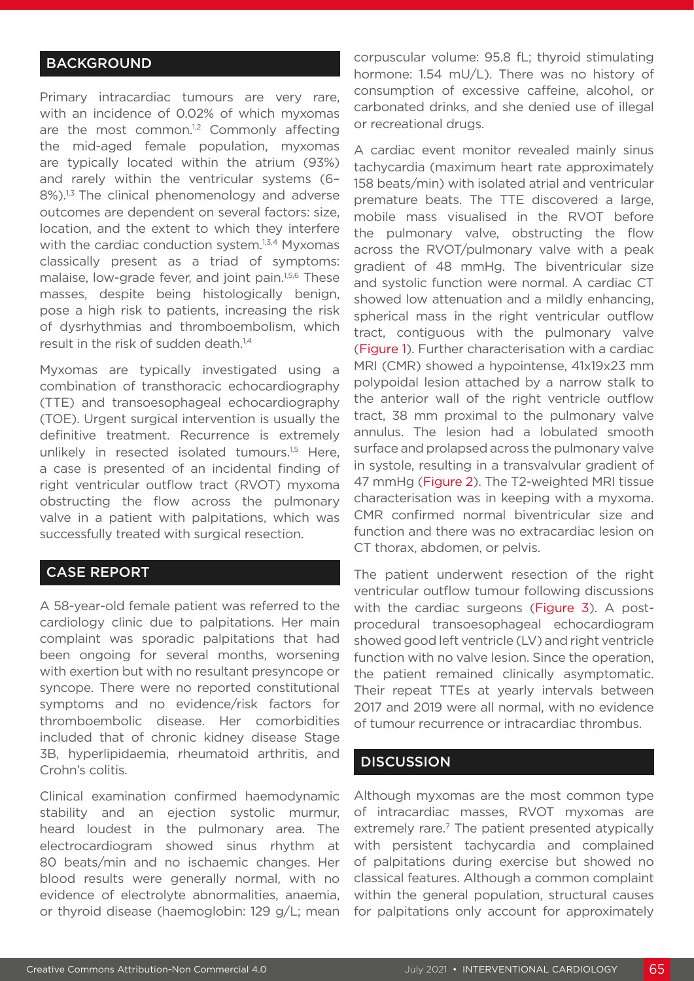## **BACKGROUND**

Primary intracardiac tumours are very rare, with an incidence of 0.02% of which myxomas are the most common. $1,2$  Commonly affecting the mid-aged female population, myxomas are typically located within the atrium (93%) and rarely within the ventricular systems (6– 8%).<sup>1,3</sup> The clinical phenomenology and adverse outcomes are dependent on several factors: size, location, and the extent to which they interfere with the cardiac conduction system.<sup>1,3,4</sup> Myxomas classically present as a triad of symptoms: malaise, low-grade fever, and joint pain.1,5,6 These masses, despite being histologically benign, pose a high risk to patients, increasing the risk of dysrhythmias and thromboembolism, which result in the risk of sudden death.<sup>1,4</sup>

Myxomas are typically investigated using a combination of transthoracic echocardiography (TTE) and transoesophageal echocardiography (TOE). Urgent surgical intervention is usually the definitive treatment. Recurrence is extremely unlikely in resected isolated tumours.<sup>1,5</sup> Here, a case is presented of an incidental finding of right ventricular outflow tract (RVOT) myxoma obstructing the flow across the pulmonary valve in a patient with palpitations, which was successfully treated with surgical resection.

## CASE REPORT

A 58-year-old female patient was referred to the cardiology clinic due to palpitations. Her main complaint was sporadic palpitations that had been ongoing for several months, worsening with exertion but with no resultant presyncope or syncope. There were no reported constitutional symptoms and no evidence/risk factors for thromboembolic disease. Her comorbidities included that of chronic kidney disease Stage 3B, hyperlipidaemia, rheumatoid arthritis, and Crohn's colitis.

Clinical examination confirmed haemodynamic stability and an ejection systolic murmur, heard loudest in the pulmonary area. The electrocardiogram showed sinus rhythm at 80 beats/min and no ischaemic changes. Her blood results were generally normal, with no evidence of electrolyte abnormalities, anaemia, or thyroid disease (haemoglobin: 129 g/L; mean

corpuscular volume: 95.8 fL; thyroid stimulating hormone: 1.54 mU/L). There was no history of consumption of excessive caffeine, alcohol, or carbonated drinks, and she denied use of illegal or recreational drugs.

A cardiac event monitor revealed mainly sinus tachycardia (maximum heart rate approximately 158 beats/min) with isolated atrial and ventricular premature beats. The TTE discovered a large, mobile mass visualised in the RVOT before the pulmonary valve, obstructing the flow across the RVOT/pulmonary valve with a peak gradient of 48 mmHg. The biventricular size and systolic function were normal. A cardiac CT showed low attenuation and a mildly enhancing, spherical mass in the right ventricular outflow tract, contiguous with the pulmonary valve (Figure 1). Further characterisation with a cardiac MRI (CMR) showed a hypointense, 41x19x23 mm polypoidal lesion attached by a narrow stalk to the anterior wall of the right ventricle outflow tract, 38 mm proximal to the pulmonary valve annulus. The lesion had a lobulated smooth surface and prolapsed across the pulmonary valve in systole, resulting in a transvalvular gradient of 47 mmHg (Figure 2). The T2-weighted MRI tissue characterisation was in keeping with a myxoma. CMR confirmed normal biventricular size and function and there was no extracardiac lesion on CT thorax, abdomen, or pelvis.

The patient underwent resection of the right ventricular outflow tumour following discussions with the cardiac surgeons (Figure 3). A postprocedural transoesophageal echocardiogram showed good left ventricle (LV) and right ventricle function with no valve lesion. Since the operation, the patient remained clinically asymptomatic. Their repeat TTEs at yearly intervals between 2017 and 2019 were all normal, with no evidence of tumour recurrence or intracardiac thrombus.

## **DISCUSSION**

Although myxomas are the most common type of intracardiac masses, RVOT myxomas are extremely rare.<sup>7</sup> The patient presented atypically with persistent tachycardia and complained of palpitations during exercise but showed no classical features. Although a common complaint within the general population, structural causes for palpitations only account for approximately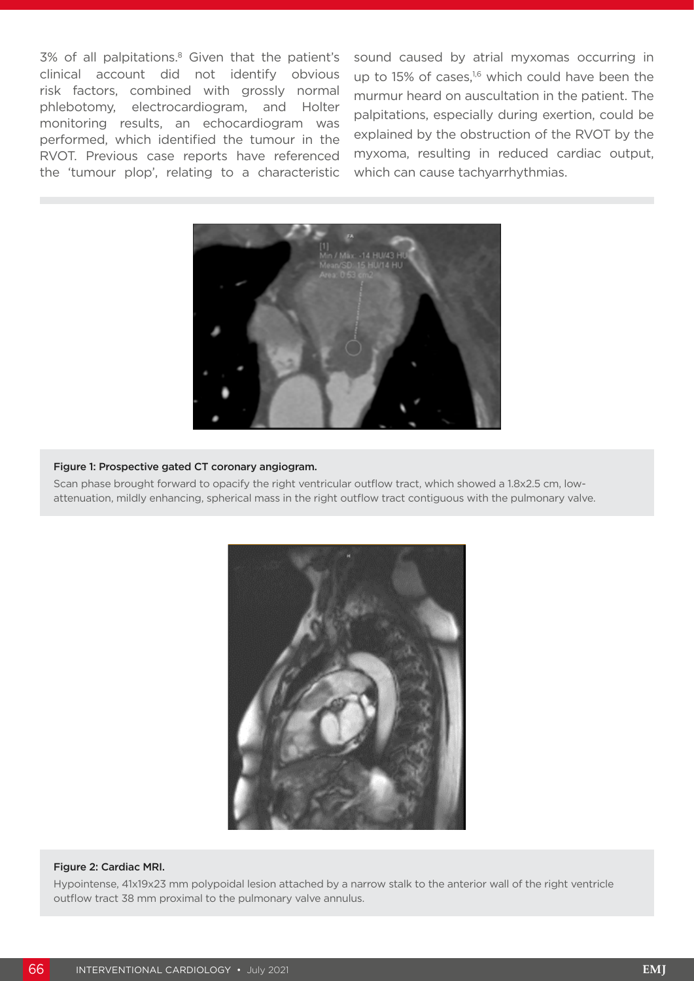3% of all palpitations.<sup>8</sup> Given that the patient's clinical account did not identify obvious risk factors, combined with grossly normal phlebotomy, electrocardiogram, and Holter monitoring results, an echocardiogram was performed, which identified the tumour in the RVOT. Previous case reports have referenced the 'tumour plop', relating to a characteristic sound caused by atrial myxomas occurring in up to 15% of cases, $1,6$  which could have been the murmur heard on auscultation in the patient. The palpitations, especially during exertion, could be explained by the obstruction of the RVOT by the myxoma, resulting in reduced cardiac output, which can cause tachyarrhythmias.



### Figure 1: Prospective gated CT coronary angiogram.

Scan phase brought forward to opacify the right ventricular outflow tract, which showed a 1.8x2.5 cm, lowattenuation, mildly enhancing, spherical mass in the right outflow tract contiguous with the pulmonary valve.



#### Figure 2: Cardiac MRI.

Hypointense, 41x19x23 mm polypoidal lesion attached by a narrow stalk to the anterior wall of the right ventricle outflow tract 38 mm proximal to the pulmonary valve annulus.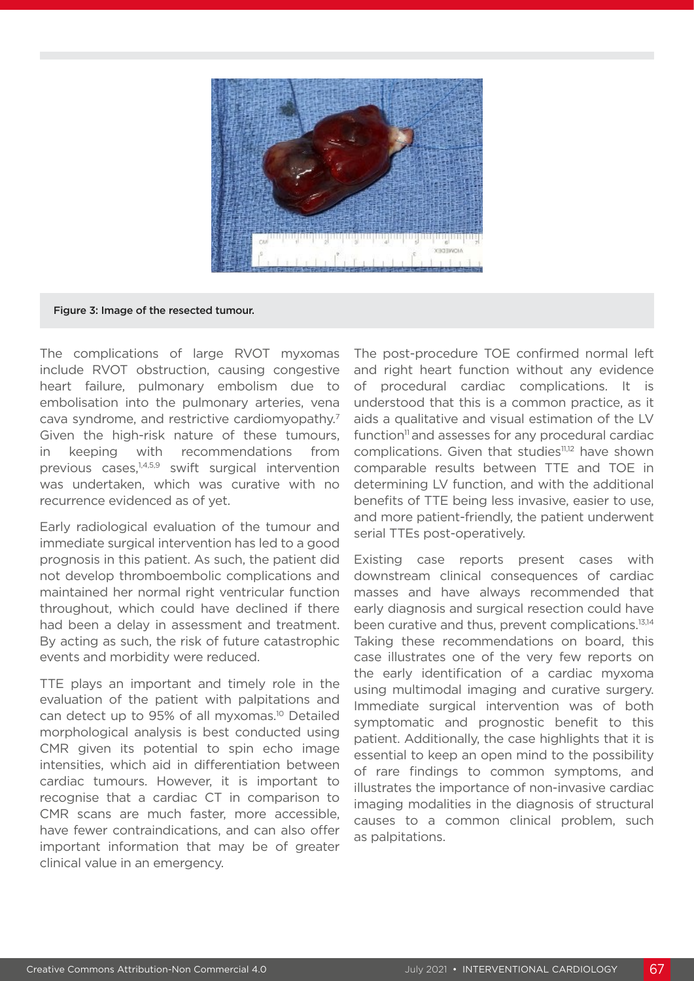

#### Figure 3: Image of the resected tumour.

The complications of large RVOT myxomas include RVOT obstruction, causing congestive heart failure, pulmonary embolism due to embolisation into the pulmonary arteries, vena cava syndrome, and restrictive cardiomyopathy.7 Given the high-risk nature of these tumours, in keeping with recommendations from previous cases,1,4,5,9 swift surgical intervention was undertaken, which was curative with no recurrence evidenced as of yet.

Early radiological evaluation of the tumour and immediate surgical intervention has led to a good prognosis in this patient. As such, the patient did not develop thromboembolic complications and maintained her normal right ventricular function throughout, which could have declined if there had been a delay in assessment and treatment. By acting as such, the risk of future catastrophic events and morbidity were reduced.

TTE plays an important and timely role in the evaluation of the patient with palpitations and can detect up to 95% of all myxomas.10 Detailed morphological analysis is best conducted using CMR given its potential to spin echo image intensities, which aid in differentiation between cardiac tumours. However, it is important to recognise that a cardiac CT in comparison to CMR scans are much faster, more accessible, have fewer contraindications, and can also offer important information that may be of greater clinical value in an emergency.

The post-procedure TOE confirmed normal left and right heart function without any evidence of procedural cardiac complications. It is understood that this is a common practice, as it aids a qualitative and visual estimation of the LV function<sup>11</sup> and assesses for any procedural cardiac complications. Given that studies<sup>11,12</sup> have shown comparable results between TTE and TOE in determining LV function, and with the additional benefits of TTE being less invasive, easier to use, and more patient-friendly, the patient underwent serial TTEs post-operatively.

Existing case reports present cases with downstream clinical consequences of cardiac masses and have always recommended that early diagnosis and surgical resection could have been curative and thus, prevent complications.<sup>13,14</sup> Taking these recommendations on board, this case illustrates one of the very few reports on the early identification of a cardiac myxoma using multimodal imaging and curative surgery. Immediate surgical intervention was of both symptomatic and prognostic benefit to this patient. Additionally, the case highlights that it is essential to keep an open mind to the possibility of rare findings to common symptoms, and illustrates the importance of non-invasive cardiac imaging modalities in the diagnosis of structural causes to a common clinical problem, such as palpitations.